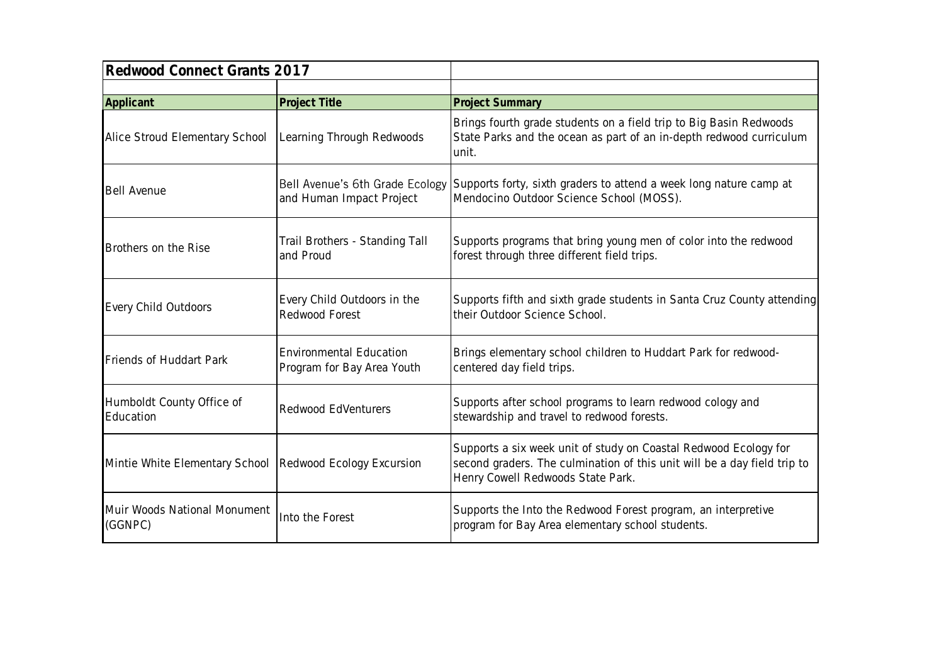| Redwood Connect Grants 2017             |                                                              |                                                                                                                                                                                   |
|-----------------------------------------|--------------------------------------------------------------|-----------------------------------------------------------------------------------------------------------------------------------------------------------------------------------|
| Applicant                               | Project Title                                                | <b>Project Summary</b>                                                                                                                                                            |
| Alice Stroud Elementary School          | Learning Through Redwoods                                    | Brings fourth grade students on a field trip to Big Basin Redwoods<br>State Parks and the ocean as part of an in-depth redwood curriculum<br>unit.                                |
| <b>Bell Avenue</b>                      | Bell Avenue's 6th Grade Ecology<br>and Human Impact Project  | Supports forty, sixth graders to attend a week long nature camp at<br>Mendocino Outdoor Science School (MOSS).                                                                    |
| Brothers on the Rise                    | Trail Brothers - Standing Tall<br>and Proud                  | Supports programs that bring young men of color into the redwood<br>forest through three different field trips.                                                                   |
| Every Child Outdoors                    | Every Child Outdoors in the<br>Redwood Forest                | Supports fifth and sixth grade students in Santa Cruz County attending<br>their Outdoor Science School.                                                                           |
| Friends of Huddart Park                 | <b>Environmental Education</b><br>Program for Bay Area Youth | Brings elementary school children to Huddart Park for redwood-<br>centered day field trips.                                                                                       |
| Humboldt County Office of<br>Education  | Redwood EdVenturers                                          | Supports after school programs to learn redwood cology and<br>stewardship and travel to redwood forests.                                                                          |
| Mintie White Elementary School          | Redwood Ecology Excursion                                    | Supports a six week unit of study on Coastal Redwood Ecology for<br>second graders. The culmination of this unit will be a day field trip to<br>Henry Cowell Redwoods State Park. |
| Muir Woods National Monument<br>(GGNPC) | Into the Forest                                              | Supports the Into the Redwood Forest program, an interpretive<br>program for Bay Area elementary school students.                                                                 |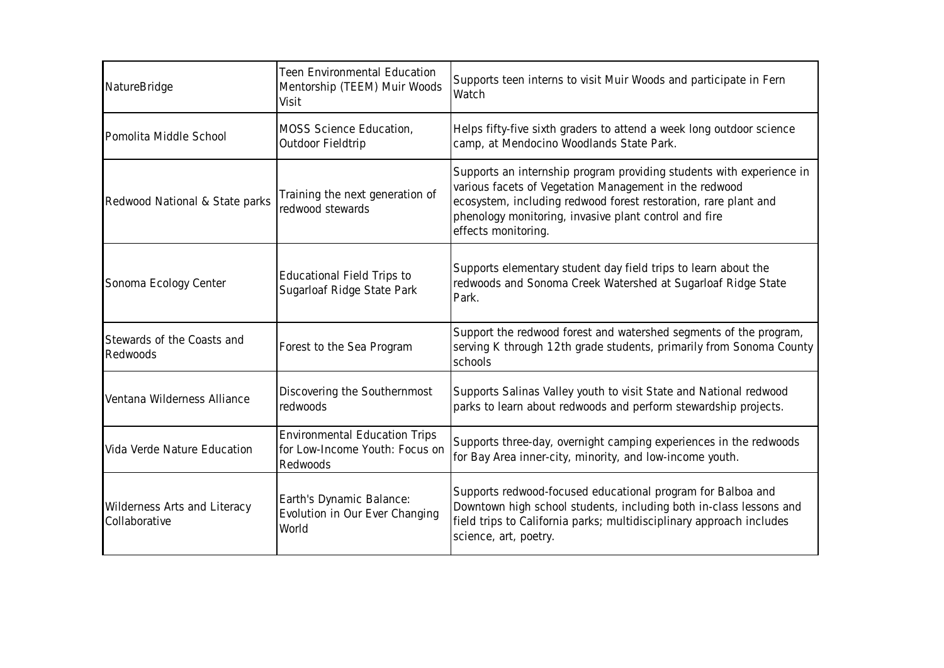| NatureBridge                                  | <b>Teen Environmental Education</b><br>Mentorship (TEEM) Muir Woods<br>Visit       | Supports teen interns to visit Muir Woods and participate in Fern<br>Watch                                                                                                                                                                                                        |
|-----------------------------------------------|------------------------------------------------------------------------------------|-----------------------------------------------------------------------------------------------------------------------------------------------------------------------------------------------------------------------------------------------------------------------------------|
| Pomolita Middle School                        | MOSS Science Education,<br>Outdoor Fieldtrip                                       | Helps fifty-five sixth graders to attend a week long outdoor science<br>camp, at Mendocino Woodlands State Park.                                                                                                                                                                  |
| Redwood National & State parks                | Training the next generation of<br>redwood stewards                                | Supports an internship program providing students with experience in<br>various facets of Vegetation Management in the redwood<br>ecosystem, including redwood forest restoration, rare plant and<br>phenology monitoring, invasive plant control and fire<br>effects monitoring. |
| Sonoma Ecology Center                         | Educational Field Trips to<br>Sugarloaf Ridge State Park                           | Supports elementary student day field trips to learn about the<br>redwoods and Sonoma Creek Watershed at Sugarloaf Ridge State<br>Park.                                                                                                                                           |
| Stewards of the Coasts and<br>Redwoods        | Forest to the Sea Program                                                          | Support the redwood forest and watershed segments of the program,<br>serving K through 12th grade students, primarily from Sonoma County<br>schools                                                                                                                               |
| Ventana Wilderness Alliance                   | Discovering the Southernmost<br>redwoods                                           | Supports Salinas Valley youth to visit State and National redwood<br>parks to learn about redwoods and perform stewardship projects.                                                                                                                                              |
| Vida Verde Nature Education                   | <b>Environmental Education Trips</b><br>for Low-Income Youth: Focus on<br>Redwoods | Supports three-day, overnight camping experiences in the redwoods<br>for Bay Area inner-city, minority, and low-income youth.                                                                                                                                                     |
| Wilderness Arts and Literacy<br>Collaborative | Earth's Dynamic Balance:<br>Evolution in Our Ever Changing<br>World                | Supports redwood-focused educational program for Balboa and<br>Downtown high school students, including both in-class lessons and<br>field trips to California parks; multidisciplinary approach includes<br>science, art, poetry.                                                |